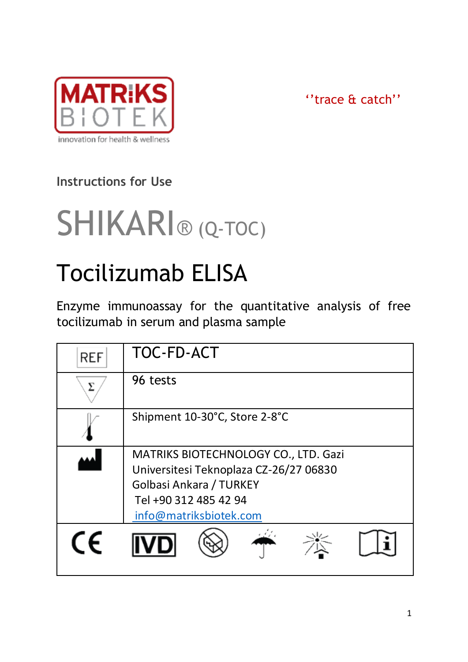

''trace & catch''

## **Instructions for Use**



# Tocilizumab ELISA

Enzyme immunoassay for the quantitative analysis of free tocilizumab in serum and plasma sample

| <b>REF</b> | TOC-FD-ACT                                                                                                                                                   |  |  |
|------------|--------------------------------------------------------------------------------------------------------------------------------------------------------------|--|--|
|            | 96 tests                                                                                                                                                     |  |  |
|            | Shipment 10-30°C, Store 2-8°C                                                                                                                                |  |  |
|            | MATRIKS BIOTECHNOLOGY CO., LTD. Gazi<br>Universitesi Teknoplaza CZ-26/27 06830<br>Golbasi Ankara / TURKEY<br>Tel +90 312 485 42 94<br>info@matriksbiotek.com |  |  |
| CF         |                                                                                                                                                              |  |  |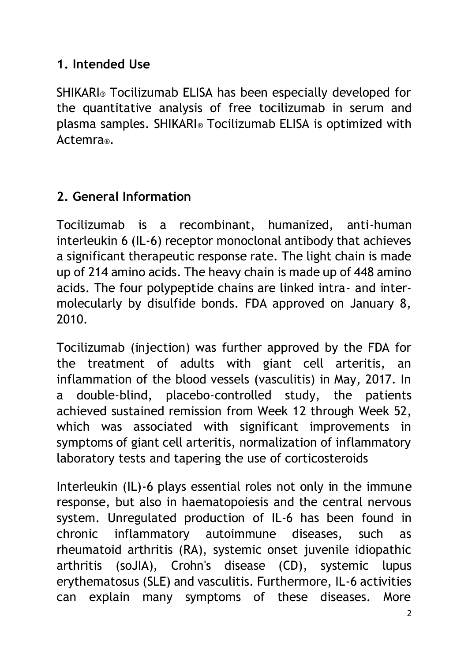#### **1. Intended Use**

SHIKARI® Tocilizumab ELISA has been especially developed for the quantitative analysis of free tocilizumab in serum and plasma samples. SHIKARI® Tocilizumab ELISA is optimized with Actemra®.

## **2. General Information**

Tocilizumab is a recombinant, humanized, anti-human interleukin 6 (IL-6) receptor monoclonal antibody that achieves a significant therapeutic response rate. The light chain is made up of 214 amino acids. The heavy chain is made up of 448 amino acids. The four polypeptide chains are linked intra- and intermolecularly by disulfide bonds. FDA approved on January 8, 2010.

Tocilizumab (injection) was further approved by the FDA for the treatment of adults with giant cell arteritis, an inflammation of the blood vessels (vasculitis) in May, 2017. In a double-blind, placebo-controlled study, the patients achieved sustained remission from Week 12 through Week 52, which was associated with significant improvements in symptoms of giant cell arteritis, normalization of inflammatory laboratory tests and tapering the use of corticosteroids

Interleukin (IL)-6 plays essential roles not only in the immune response, but also in haematopoiesis and the central nervous system. Unregulated production of IL-6 has been found in chronic inflammatory autoimmune diseases, such as rheumatoid arthritis (RA), systemic onset juvenile idiopathic arthritis (soJIA), Crohn's disease (CD), systemic lupus erythematosus (SLE) and vasculitis. Furthermore, IL-6 activities can explain many symptoms of these diseases. More

 $\overline{2}$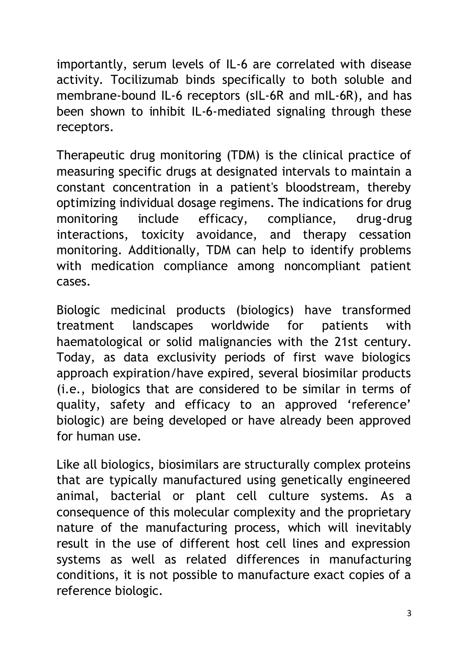importantly, serum levels of IL-6 are correlated with disease activity. Tocilizumab binds specifically to both soluble and membrane-bound IL-6 receptors (sIL-6R and mIL-6R), and has been shown to inhibit IL-6-mediated signaling through these receptors.

Therapeutic drug monitoring (TDM) is the clinical practice of measuring specific drugs at designated intervals to maintain a constant concentration in a patient's bloodstream, thereby optimizing individual dosage regimens. The indications for drug monitoring include efficacy, compliance, drug-drug interactions, toxicity avoidance, and therapy cessation monitoring. Additionally, TDM can help to identify problems with medication compliance among noncompliant patient cases.

Biologic medicinal products (biologics) have transformed treatment landscapes worldwide for patients with haematological or solid malignancies with the 21st century. Today, as data exclusivity periods of first wave biologics approach expiration/have expired, several biosimilar products (i.e., biologics that are considered to be similar in terms of quality, safety and efficacy to an approved 'reference' biologic) are being developed or have already been approved for human use.

Like all biologics, biosimilars are structurally complex proteins that are typically manufactured using genetically engineered animal, bacterial or plant cell culture systems. As a consequence of this molecular complexity and the proprietary nature of the manufacturing process, which will inevitably result in the use of different host cell lines and expression systems as well as related differences in manufacturing conditions, it is not possible to manufacture exact copies of a reference biologic.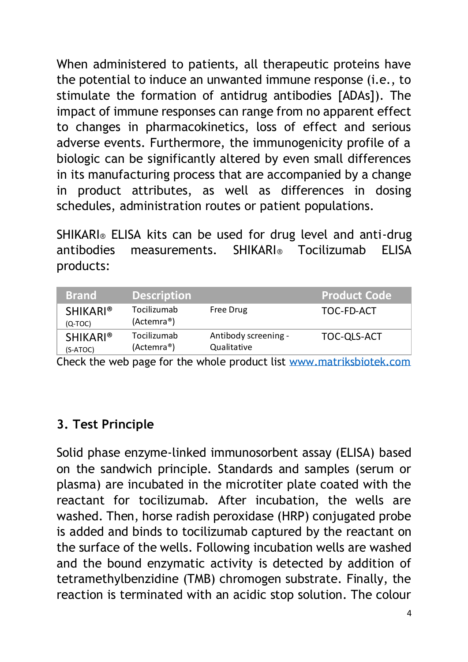When administered to patients, all therapeutic proteins have the potential to induce an unwanted immune response (i.e., to stimulate the formation of antidrug antibodies [ADAs]). The impact of immune responses can range from no apparent effect to changes in pharmacokinetics, loss of effect and serious adverse events. Furthermore, the immunogenicity profile of a biologic can be significantly altered by even small differences in its manufacturing process that are accompanied by a change in product attributes, as well as differences in dosing schedules, administration routes or patient populations.

SHIKARI® ELISA kits can be used for drug level and anti-drug antibodies measurements. SHIKARI® Tocilizumab ELISA products:

| <b>Brand</b>                 | <b>Description</b>                     |                                     | <b>Product Code</b> |
|------------------------------|----------------------------------------|-------------------------------------|---------------------|
| <b>SHIKARI®</b><br>$(O-TOC)$ | Tocilizumab<br>(Actemra <sup>®</sup> ) | Free Drug                           | TOC-FD-ACT          |
| <b>SHIKARI®</b><br>(S-ATOC)  | Tocilizumab<br>(Actemra <sup>®</sup> ) | Antibody screening -<br>Qualitative | TOC-OLS-ACT         |

Check the web page for the whole product list [www.matriksbiotek.com](file:///C:/Users/Matrix/Documents/www.matriksbiotek.com)

#### **3. Test Principle**

Solid phase enzyme-linked immunosorbent assay (ELISA) based on the sandwich principle. Standards and samples (serum or plasma) are incubated in the microtiter plate coated with the reactant for tocilizumab. After incubation, the wells are washed. Then, horse radish peroxidase (HRP) conjugated probe is added and binds to tocilizumab captured by the reactant on the surface of the wells. Following incubation wells are washed and the bound enzymatic activity is detected by addition of tetramethylbenzidine (TMB) chromogen substrate. Finally, the reaction is terminated with an acidic stop solution. The colour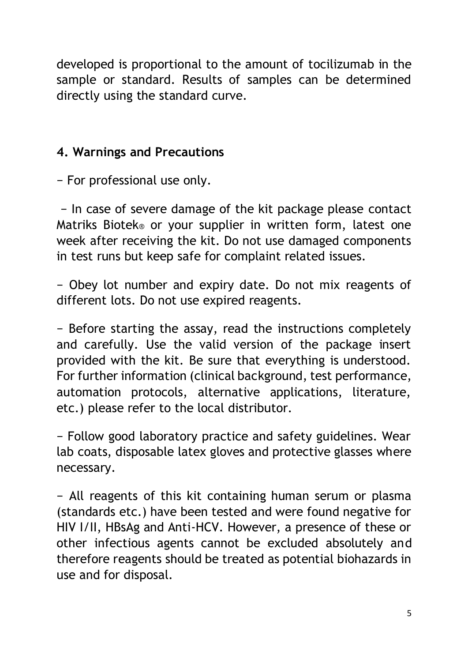developed is proportional to the amount of tocilizumab in the sample or standard. Results of samples can be determined directly using the standard curve.

#### **4. Warnings and Precautions**

− For professional use only.

− In case of severe damage of the kit package please contact Matriks Biotek® or your supplier in written form, latest one week after receiving the kit. Do not use damaged components in test runs but keep safe for complaint related issues.

− Obey lot number and expiry date. Do not mix reagents of different lots. Do not use expired reagents.

− Before starting the assay, read the instructions completely and carefully. Use the valid version of the package insert provided with the kit. Be sure that everything is understood. For further information (clinical background, test performance, automation protocols, alternative applications, literature, etc.) please refer to the local distributor.

− Follow good laboratory practice and safety guidelines. Wear lab coats, disposable latex gloves and protective glasses where necessary.

− All reagents of this kit containing human serum or plasma (standards etc.) have been tested and were found negative for HIV I/II, HBsAg and Anti-HCV. However, a presence of these or other infectious agents cannot be excluded absolutely and therefore reagents should be treated as potential biohazards in use and for disposal.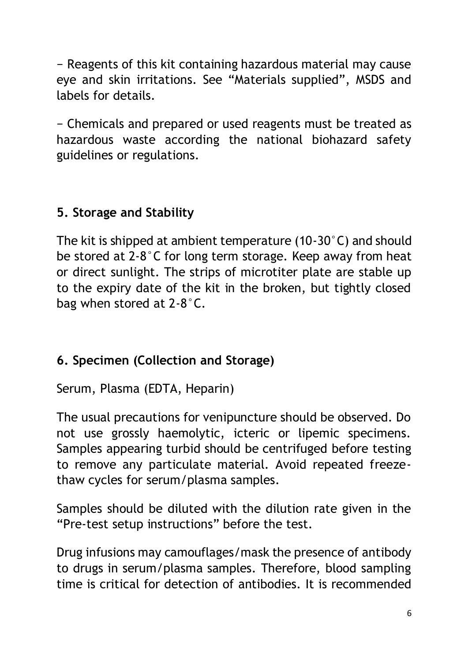− Reagents of this kit containing hazardous material may cause eye and skin irritations. See "Materials supplied", MSDS and labels for details.

− Chemicals and prepared or used reagents must be treated as hazardous waste according the national biohazard safety guidelines or regulations.

## **5. Storage and Stability**

The kit is shipped at ambient temperature (10-30°C) and should be stored at 2-8°C for long term storage. Keep away from heat or direct sunlight. The strips of microtiter plate are stable up to the expiry date of the kit in the broken, but tightly closed bag when stored at 2-8°C.

## **6. Specimen (Collection and Storage)**

Serum, Plasma (EDTA, Heparin)

The usual precautions for venipuncture should be observed. Do not use grossly haemolytic, icteric or lipemic specimens. Samples appearing turbid should be centrifuged before testing to remove any particulate material. Avoid repeated freezethaw cycles for serum/plasma samples.

Samples should be diluted with the dilution rate given in the "Pre-test setup instructions" before the test.

Drug infusions may camouflages/mask the presence of antibody to drugs in serum/plasma samples. Therefore, blood sampling time is critical for detection of antibodies. It is recommended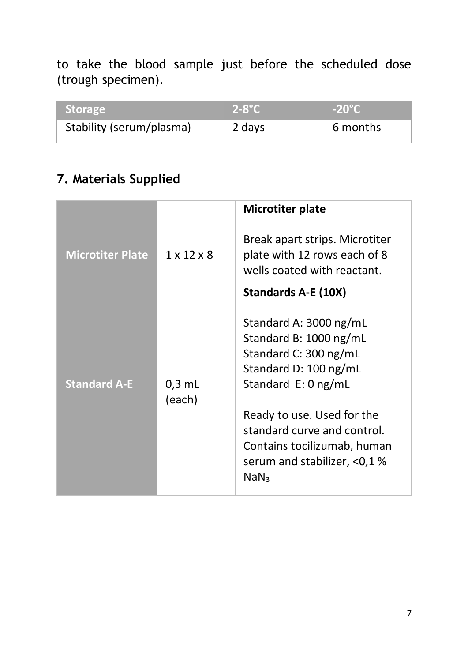to take the blood sample just before the scheduled dose (trough specimen).

| <b>Storage</b>           | $2-8$ °C | $-20^{\circ}$ C |
|--------------------------|----------|-----------------|
| Stability (serum/plasma) | 2 days   | 6 months        |

## **7. Materials Supplied**

|                         |                        | Microtiter plate                                                                              |
|-------------------------|------------------------|-----------------------------------------------------------------------------------------------|
| <b>Microtiter Plate</b> | $1 \times 12 \times 8$ | Break apart strips. Microtiter<br>plate with 12 rows each of 8<br>wells coated with reactant. |
|                         |                        | Standards A-E (10X)                                                                           |
|                         |                        | Standard A: 3000 ng/mL                                                                        |
|                         |                        | Standard B: 1000 ng/mL                                                                        |
|                         |                        | Standard C: 300 ng/mL                                                                         |
|                         |                        | Standard D: 100 ng/mL                                                                         |
| <b>Standard A-E</b>     | $0.3$ mL<br>(each)     | Standard $E: 0$ ng/mL                                                                         |
|                         |                        | Ready to use. Used for the                                                                    |
|                         |                        | standard curve and control.                                                                   |
|                         |                        | Contains tocilizumab, human                                                                   |
|                         |                        | serum and stabilizer, <0,1%<br>NaN <sub>3</sub>                                               |
|                         |                        |                                                                                               |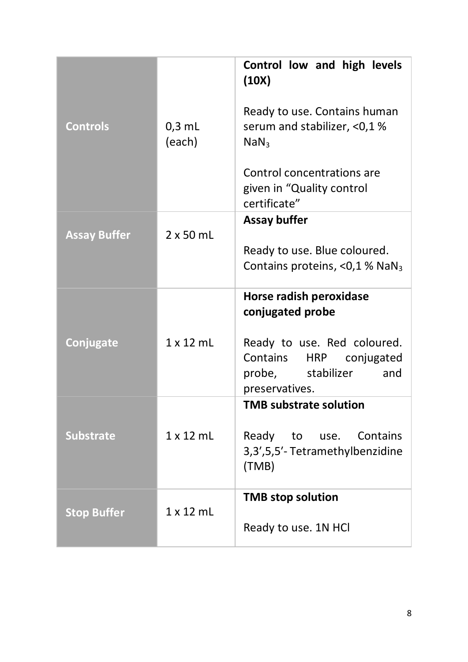|                     |                  | Control low and high levels<br>(10X)       |
|---------------------|------------------|--------------------------------------------|
|                     |                  | Ready to use. Contains human               |
| <b>Controls</b>     | $0.3$ mL         | serum and stabilizer, <0,1%                |
|                     | (each)           | NaN <sub>3</sub>                           |
|                     |                  |                                            |
|                     |                  | Control concentrations are                 |
|                     |                  | given in "Quality control<br>certificate"  |
|                     |                  | Assay buffer                               |
| <b>Assay Buffer</b> | $2 \times 50$ mL |                                            |
|                     |                  | Ready to use. Blue coloured.               |
|                     |                  | Contains proteins, <0,1 % NaN <sub>3</sub> |
|                     |                  | Horse radish peroxidase                    |
|                     |                  | conjugated probe                           |
|                     | $1 \times 12$ mL | Ready to use. Red coloured.                |
| Conjugate           |                  | Contains<br><b>HRP</b><br>conjugated       |
|                     |                  | probe,<br>stabilizer<br>and                |
|                     |                  | preservatives.                             |
|                     |                  | <b>TMB substrate solution</b>              |
| <b>Substrate</b>    | 1x12mL           | Ready to use. Contains                     |
|                     |                  | 3,3',5,5'-Tetramethylbenzidine             |
|                     |                  | (TMB)                                      |
|                     |                  |                                            |
|                     |                  | <b>TMB stop solution</b>                   |
| <b>Stop Buffer</b>  | $1 \times 12$ ml | Ready to use. 1N HCl                       |
|                     |                  |                                            |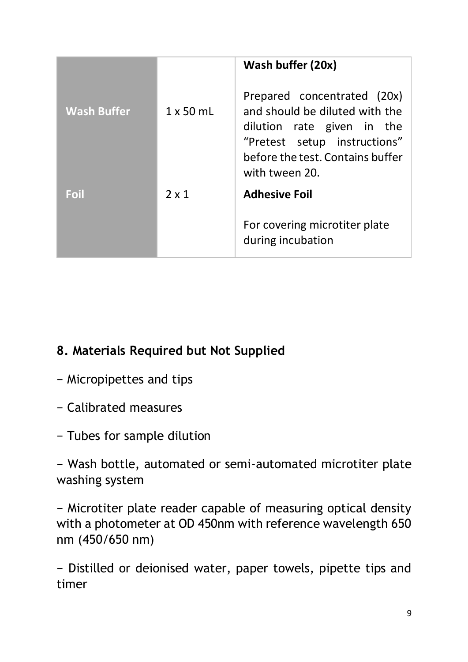|                    |                  | Wash buffer (20x)                                                                                                                                                                 |
|--------------------|------------------|-----------------------------------------------------------------------------------------------------------------------------------------------------------------------------------|
| <b>Wash Buffer</b> | $1 \times 50$ ml | Prepared concentrated (20x)<br>and should be diluted with the<br>dilution rate given in the<br>"Pretest setup instructions"<br>before the test. Contains buffer<br>with tween 20. |
| Foil               | $2 \times 1$     | <b>Adhesive Foil</b>                                                                                                                                                              |
|                    |                  | For covering microtiter plate<br>during incubation                                                                                                                                |

## **8. Materials Required but Not Supplied**

- − Micropipettes and tips
- − Calibrated measures
- − Tubes for sample dilution

− Wash bottle, automated or semi-automated microtiter plate washing system

− Microtiter plate reader capable of measuring optical density with a photometer at OD 450nm with reference wavelength 650 nm (450/650 nm)

− Distilled or deionised water, paper towels, pipette tips and timer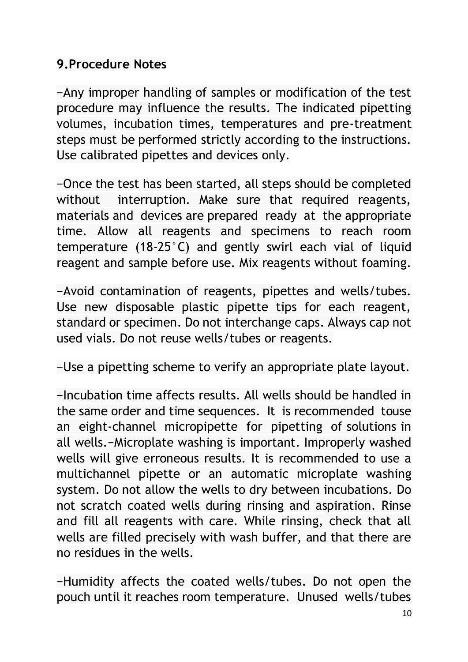#### **9.Procedure Notes**

−Any improper handling of samples or modification of the test procedure may influence the results. The indicated pipetting volumes, incubation times, temperatures and pre-treatment steps must be performed strictly according to the instructions. Use calibrated pipettes and devices only.

−Once the test has been started, all steps should be completed without interruption. Make sure that required reagents, materials and devices are prepared ready at the appropriate time. Allow all reagents and specimens to reach room temperature (18-25°C) and gently swirl each vial of liquid reagent and sample before use. Mix reagents without foaming.

−Avoid contamination of reagents, pipettes and wells/tubes. Use new disposable plastic pipette tips for each reagent, standard or specimen. Do not interchange caps. Always cap not used vials. Do not reuse wells/tubes or reagents.

−Use a pipetting scheme to verify an appropriate plate layout.

−Incubation time affects results. All wells should be handled in the same order and time sequences. It is recommended touse an eight-channel micropipette for pipetting of solutions in all wells.−Microplate washing is important. Improperly washed wells will give erroneous results. It is recommended to use a multichannel pipette or an automatic microplate washing system. Do not allow the wells to dry between incubations. Do not scratch coated wells during rinsing and aspiration. Rinse and fill all reagents with care. While rinsing, check that all wells are filled precisely with wash buffer, and that there are no residues in the wells.

−Humidity affects the coated wells/tubes. Do not open the pouch until it reaches room temperature. Unused wells/tubes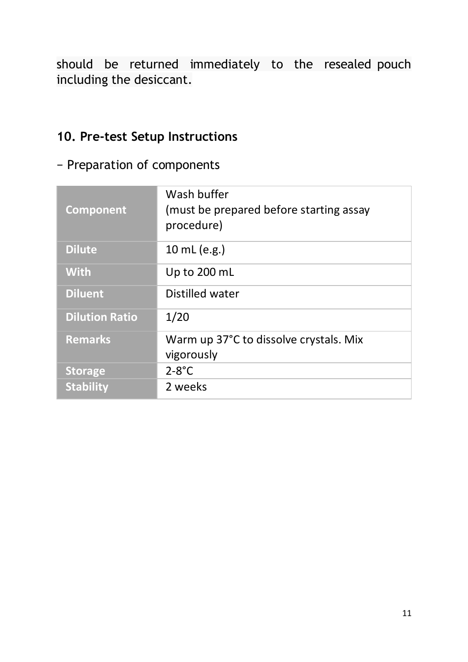should be returned immediately to the resealed pouch including the desiccant.

#### **10. Pre-test Setup Instructions**

#### − Preparation of components

| Component             | Wash buffer<br>(must be prepared before starting assay<br>procedure) |
|-----------------------|----------------------------------------------------------------------|
| <b>Dilute</b>         | 10 mL (e.g.)                                                         |
| <b>With</b>           | Up to 200 mL                                                         |
| <b>Diluent</b>        | Distilled water                                                      |
| <b>Dilution Ratio</b> | 1/20                                                                 |
| <b>Remarks</b>        | Warm up 37°C to dissolve crystals. Mix                               |
|                       | vigorously                                                           |
| <b>Storage</b>        | $2-8$ °C                                                             |
| <b>Stability</b>      | 2 weeks                                                              |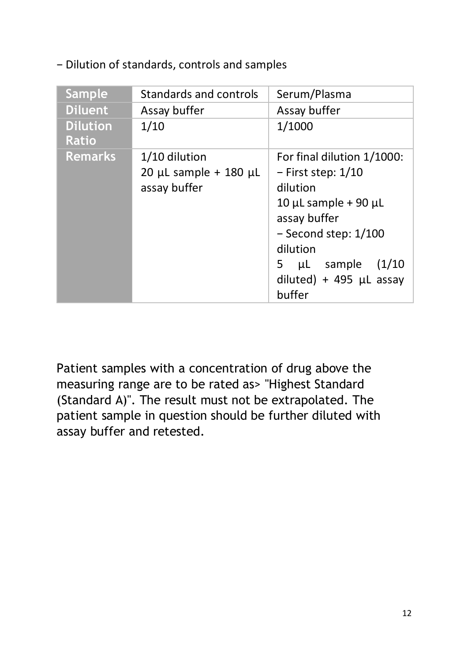− Dilution of standards, controls and samples

| Sample                          | Standards and controls                                           | Serum/Plasma                                                                                                                                                                                                                        |
|---------------------------------|------------------------------------------------------------------|-------------------------------------------------------------------------------------------------------------------------------------------------------------------------------------------------------------------------------------|
| <b>Diluent</b>                  | Assay buffer                                                     | Assay buffer                                                                                                                                                                                                                        |
| <b>Dilution</b><br><b>Ratio</b> | 1/10                                                             | 1/1000                                                                                                                                                                                                                              |
| <b>Remarks</b>                  | 1/10 dilution<br>$20 \mu L$ sample + 180 $\mu L$<br>assay buffer | For final dilution 1/1000:<br>$-$ First step: $1/10$<br>dilution<br>10 $\mu$ L sample + 90 $\mu$ L<br>assay buffer<br>$-$ Second step: $1/100$<br>dilution<br>sample<br>5<br>(1/10)<br>μL<br>diluted) + 495 $\mu$ L assay<br>buffer |

Patient samples with a concentration of drug above the measuring range are to be rated as> "Highest Standard (Standard A)". The result must not be extrapolated. The patient sample in question should be further diluted with assay buffer and retested.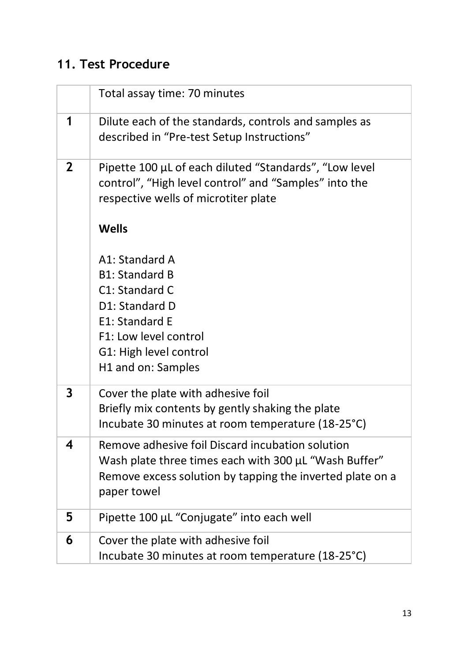## **11. Test Procedure**

|              | Total assay time: 70 minutes                                                                                                                                                          |
|--------------|---------------------------------------------------------------------------------------------------------------------------------------------------------------------------------------|
| 1            | Dilute each of the standards, controls and samples as<br>described in "Pre-test Setup Instructions"                                                                                   |
| $\mathbf{2}$ | Pipette 100 µL of each diluted "Standards", "Low level<br>control", "High level control" and "Samples" into the<br>respective wells of microtiter plate                               |
|              | Wells                                                                                                                                                                                 |
|              | A1: Standard A<br><b>B1: Standard B</b><br>C1: Standard C<br>D1: Standard D<br>E1: Standard E<br>F1: Low level control<br>G1: High level control<br>H1 and on: Samples                |
| 3            | Cover the plate with adhesive foil<br>Briefly mix contents by gently shaking the plate<br>Incubate 30 minutes at room temperature (18-25°C)                                           |
| 4            | Remove adhesive foil Discard incubation solution<br>Wash plate three times each with 300 µL "Wash Buffer"<br>Remove excess solution by tapping the inverted plate on a<br>paper towel |
| 5            | Pipette 100 µL "Conjugate" into each well                                                                                                                                             |
| 6            | Cover the plate with adhesive foil<br>Incubate 30 minutes at room temperature (18-25°C)                                                                                               |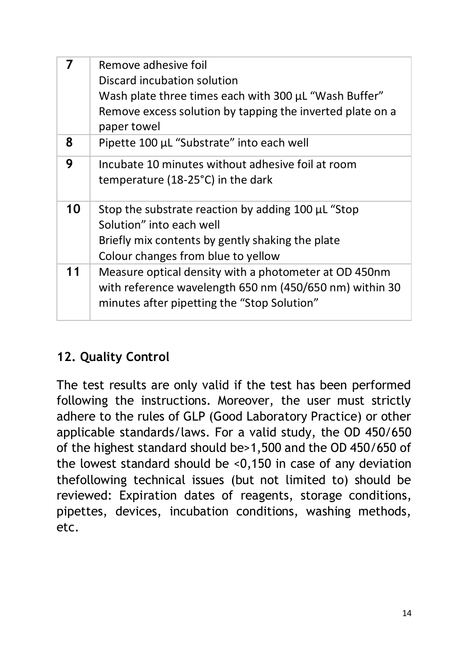| 7  | Remove adhesive foil<br>Discard incubation solution<br>Wash plate three times each with 300 µL "Wash Buffer"<br>Remove excess solution by tapping the inverted plate on a<br>paper towel |
|----|------------------------------------------------------------------------------------------------------------------------------------------------------------------------------------------|
| 8  | Pipette 100 µL "Substrate" into each well                                                                                                                                                |
| 9  | Incubate 10 minutes without adhesive foil at room<br>temperature (18-25°C) in the dark                                                                                                   |
| 10 | Stop the substrate reaction by adding 100 µL "Stop<br>Solution" into each well<br>Briefly mix contents by gently shaking the plate<br>Colour changes from blue to yellow                 |
| 11 | Measure optical density with a photometer at OD 450nm<br>with reference wavelength 650 nm (450/650 nm) within 30<br>minutes after pipetting the "Stop Solution"                          |

## **12. Quality Control**

The test results are only valid if the test has been performed following the instructions. Moreover, the user must strictly adhere to the rules of GLP (Good Laboratory Practice) or other applicable standards/laws. For a valid study, the OD 450/650 of the highest standard should be>1,500 and the OD 450/650 of the lowest standard should be <0,150 in case of any deviation thefollowing technical issues (but not limited to) should be reviewed: Expiration dates of reagents, storage conditions, pipettes, devices, incubation conditions, washing methods, etc.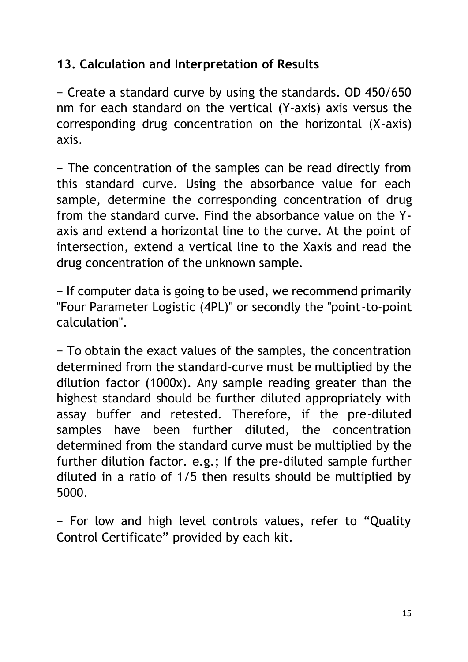#### **13. Calculation and Interpretation of Results**

− Create a standard curve by using the standards. OD 450/650 nm for each standard on the vertical (Y-axis) axis versus the corresponding drug concentration on the horizontal (X-axis) axis.

− The concentration of the samples can be read directly from this standard curve. Using the absorbance value for each sample, determine the corresponding concentration of drug from the standard curve. Find the absorbance value on the Yaxis and extend a horizontal line to the curve. At the point of intersection, extend a vertical line to the Xaxis and read the drug concentration of the unknown sample.

− If computer data is going to be used, we recommend primarily "Four Parameter Logistic (4PL)" or secondly the "point-to-point calculation".

− To obtain the exact values of the samples, the concentration determined from the standard-curve must be multiplied by the dilution factor (1000x). Any sample reading greater than the highest standard should be further diluted appropriately with assay buffer and retested. Therefore, if the pre-diluted samples have been further diluted, the concentration determined from the standard curve must be multiplied by the further dilution factor. e.g.; If the pre-diluted sample further diluted in a ratio of 1/5 then results should be multiplied by 5000.

− For low and high level controls values, refer to "Quality Control Certificate" provided by each kit.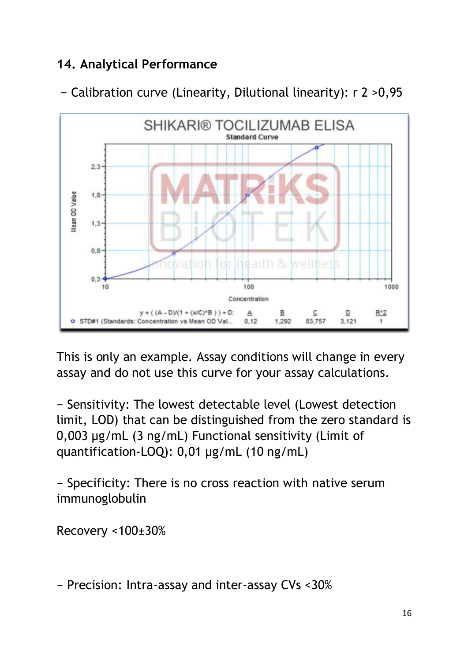### **14. Analytical Performance**



− Calibration curve (Linearity, Dilutional linearity): r 2 >0,95

This is only an example. Assay conditions will change in every assay and do not use this curve for your assay calculations.

− Sensitivity: The lowest detectable level (Lowest detection limit, LOD) that can be distinguished from the zero standard is 0,003 µg/mL (3 ng/mL) Functional sensitivity (Limit of quantification-LOQ): 0,01 µg/mL (10 ng/mL)

− Specificity: There is no cross reaction with native serum immunoglobulin

Recovery <100±30%

− Precision: Intra-assay and inter-assay CVs <30%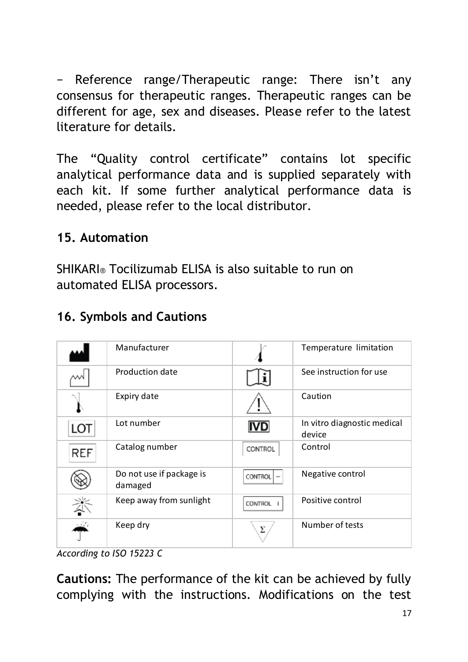− Reference range/Therapeutic range: There isn't any consensus for therapeutic ranges. Therapeutic ranges can be different for age, sex and diseases. Please refer to the latest literature for details.

The "Quality control certificate" contains lot specific analytical performance data and is supplied separately with each kit. If some further analytical performance data is needed, please refer to the local distributor.

#### **15. Automation**

SHIKARI® Tocilizumab ELISA is also suitable to run on automated ELISA processors.

| 16. Symbols and Cautions |  |  |  |  |  |  |  |
|--------------------------|--|--|--|--|--|--|--|
|--------------------------|--|--|--|--|--|--|--|

|     | Manufacturer                        |                | Temperature limitation                |
|-----|-------------------------------------|----------------|---------------------------------------|
|     | Production date                     |                | See instruction for use               |
|     | Expiry date                         |                | Caution                               |
| LOT | Lot number                          | <b>IVD</b>     | In vitro diagnostic medical<br>device |
| REF | Catalog number                      | CONTROL        | Control                               |
|     | Do not use if package is<br>damaged | CONTROL        | Negative control                      |
|     | Keep away from sunlight             | <b>CONTROL</b> | Positive control                      |
|     | Keep dry                            | Σ              | Number of tests                       |

*According to ISO 15223 C*

**Cautions:** The performance of the kit can be achieved by fully complying with the instructions. Modifications on the test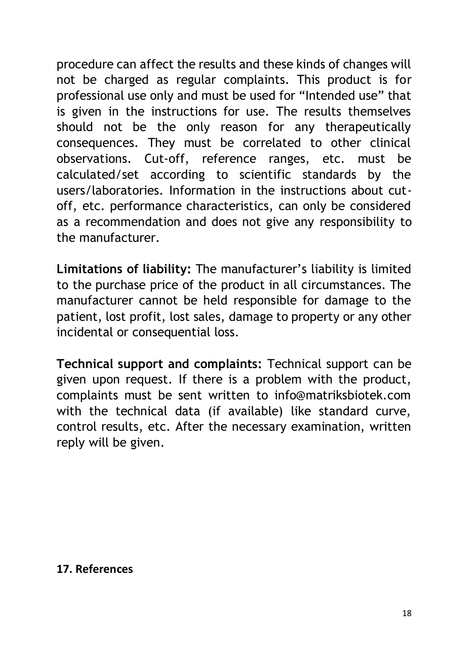procedure can affect the results and these kinds of changes will not be charged as regular complaints. This product is for professional use only and must be used for "Intended use" that is given in the instructions for use. The results themselves should not be the only reason for any therapeutically consequences. They must be correlated to other clinical observations. Cut-off, reference ranges, etc. must be calculated/set according to scientific standards by the users/laboratories. Information in the instructions about cutoff, etc. performance characteristics, can only be considered as a recommendation and does not give any responsibility to the manufacturer.

**Limitations of liability:** The manufacturer's liability is limited to the purchase price of the product in all circumstances. The manufacturer cannot be held responsible for damage to the patient, lost profit, lost sales, damage to property or any other incidental or consequential loss.

**Technical support and complaints:** Technical support can be given upon request. If there is a problem with the product, complaints must be sent written to info@matriksbiotek.com with the technical data (if available) like standard curve, control results, etc. After the necessary examination, written reply will be given.

#### **17. References**